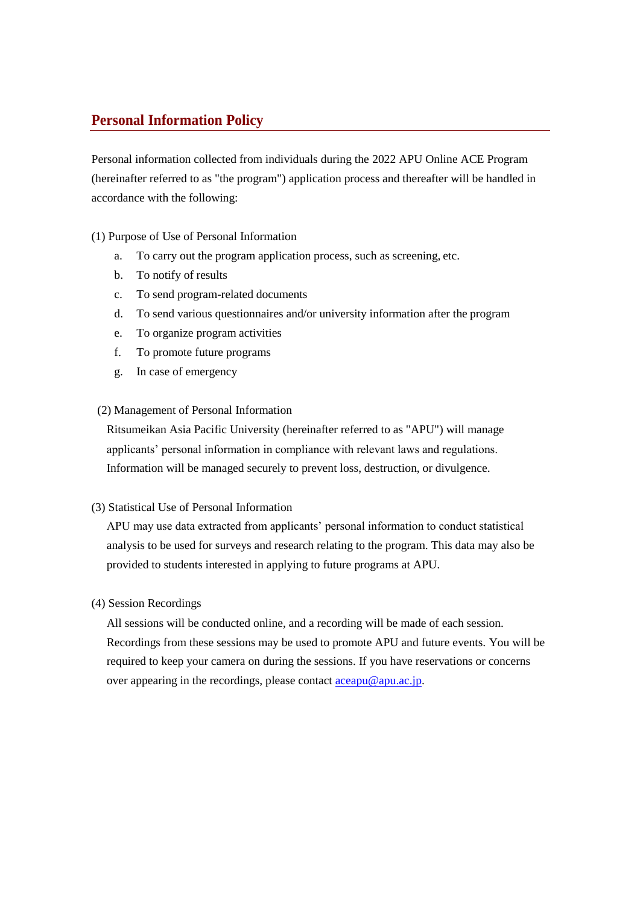## **Personal Information Policy**

Personal information collected from individuals during the 2022 APU Online ACE Program (hereinafter referred to as "the program") application process and thereafter will be handled in accordance with the following:

### (1) Purpose of Use of Personal Information

- a. To carry out the program application process, such as screening, etc.
- b. To notify of results
- c. To send program-related documents
- d. To send various questionnaires and/or university information after the program
- e. To organize program activities
- f. To promote future programs
- g. In case of emergency

#### (2) Management of Personal Information

Ritsumeikan Asia Pacific University (hereinafter referred to as "APU") will manage applicants' personal information in compliance with relevant laws and regulations. Information will be managed securely to prevent loss, destruction, or divulgence.

(3) Statistical Use of Personal Information

APU may use data extracted from applicants' personal information to conduct statistical analysis to be used for surveys and research relating to the program. This data may also be provided to students interested in applying to future programs at APU.

#### (4) Session Recordings

All sessions will be conducted online, and a recording will be made of each session. Recordings from these sessions may be used to promote APU and future events. You will be required to keep your camera on during the sessions. If you have reservations or concerns over appearing in the recordings, please contact  $\frac{\text{acapu@apu.ac.jp}}{\text{acapu@apu.ac.jp}}$ .